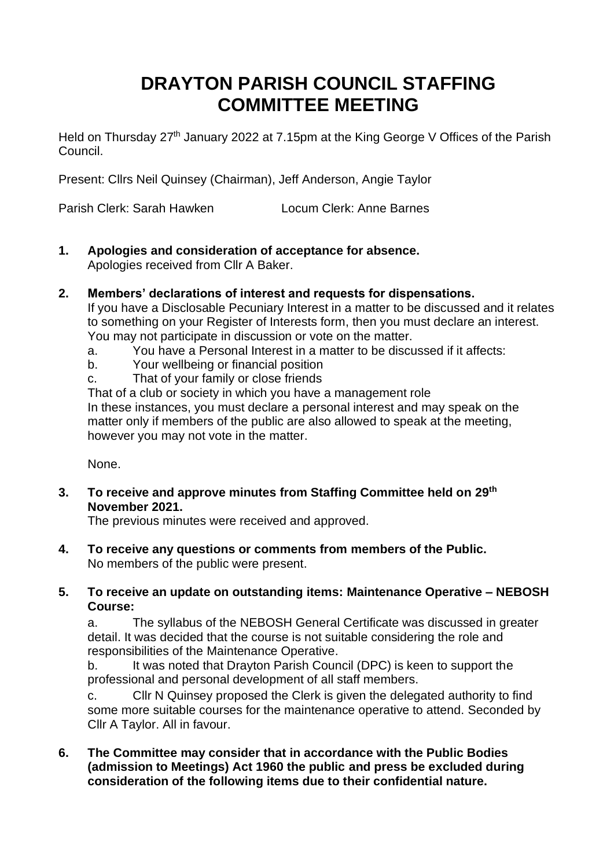# **DRAYTON PARISH COUNCIL STAFFING COMMITTEE MEETING**

Held on Thursday 27<sup>th</sup> January 2022 at 7.15pm at the King George V Offices of the Parish Council.

Present: Cllrs Neil Quinsey (Chairman), Jeff Anderson, Angie Taylor

Parish Clerk: Sarah Hawken Locum Clerk: Anne Barnes

- **1. Apologies and consideration of acceptance for absence.**  Apologies received from Cllr A Baker.
- **2. Members' declarations of interest and requests for dispensations.**

If you have a Disclosable Pecuniary Interest in a matter to be discussed and it relates to something on your Register of Interests form, then you must declare an interest. You may not participate in discussion or vote on the matter.

- a. You have a Personal Interest in a matter to be discussed if it affects:
- b. Your wellbeing or financial position
- c. That of your family or close friends

That of a club or society in which you have a management role In these instances, you must declare a personal interest and may speak on the matter only if members of the public are also allowed to speak at the meeting, however you may not vote in the matter.

None.

**3. To receive and approve minutes from Staffing Committee held on 29th November 2021.**

The previous minutes were received and approved.

- **4. To receive any questions or comments from members of the Public.**  No members of the public were present.
- **5. To receive an update on outstanding items: Maintenance Operative – NEBOSH Course:**

a. The syllabus of the NEBOSH General Certificate was discussed in greater detail. It was decided that the course is not suitable considering the role and responsibilities of the Maintenance Operative.

b. It was noted that Drayton Parish Council (DPC) is keen to support the professional and personal development of all staff members.

c. Cllr N Quinsey proposed the Clerk is given the delegated authority to find some more suitable courses for the maintenance operative to attend. Seconded by Cllr A Taylor. All in favour.

**6. The Committee may consider that in accordance with the Public Bodies (admission to Meetings) Act 1960 the public and press be excluded during consideration of the following items due to their confidential nature.**